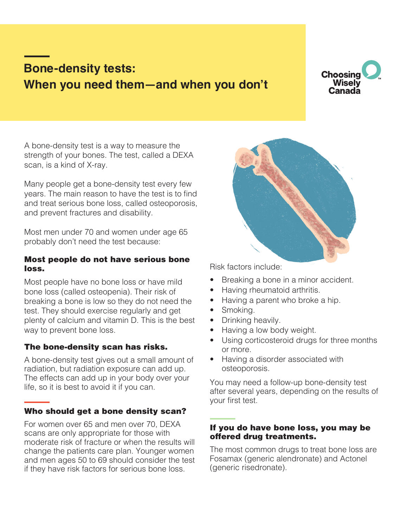# **Bone-density tests: When you need them—and when you don't**



A bone-density test is a way to measure the strength of your bones. The test, called a DEXA scan, is a kind of X-ray.

Many people get a bone-density test every few years. The main reason to have the test is to find and treat serious bone loss, called osteoporosis, and prevent fractures and disability.

Most men under 70 and women under age 65 probably don't need the test because:

### Most people do not have serious bone loss.

Most people have no bone loss or have mild bone loss (called osteopenia). Their risk of breaking a bone is low so they do not need the test. They should exercise regularly and get plenty of calcium and vitamin D. This is the best way to prevent bone loss.

# The bone-density scan has risks.

A bone-density test gives out a small amount of radiation, but radiation exposure can add up. The effects can add up in your body over your life, so it is best to avoid it if you can.

# Who should get a bone density scan?

For women over 65 and men over 70, DEXA scans are only appropriate for those with moderate risk of fracture or when the results will change the patients care plan. Younger women and men ages 50 to 69 should consider the test if they have risk factors for serious bone loss.



Risk factors include:

- Breaking a bone in a minor accident.
- Having rheumatoid arthritis.
- Having a parent who broke a hip.
- Smoking.
- Drinking heavily.
- Having a low body weight.
- Using corticosteroid drugs for three months or more.
- Having a disorder associated with osteoporosis.

You may need a follow-up bone-density test after several years, depending on the results of your first test.

# If you do have bone loss, you may be offered drug treatments.

The most common drugs to treat bone loss are Fosamax (generic alendronate) and Actonel (generic risedronate).